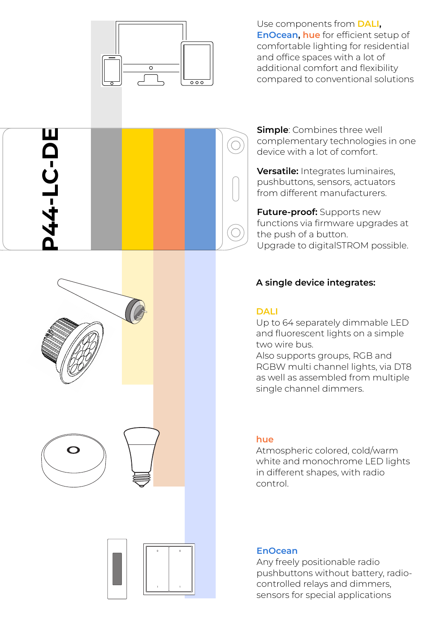

Use components from **DALI, EnOcean, hue** for efficient setup of comfortable lighting for residential and office spaces with a lot of additional comfort and flexibility compared to conventional solutions

**Simple**: Combines three well complementary technologies in one device with a lot of comfort.

**Versatile:** Integrates luminaires, pushbuttons, sensors, actuators from different manufacturers.

**Future-proof:** Supports new functions via firmware upgrades at the push of a button. Upgrade to digitalSTROM possible.

## **A single device integrates:**

### **DALI**

Up to 64 separately dimmable LED and fluorescent lights on a simple two wire bus.

Also supports groups, RGB and RGBW multi channel lights, via DT8 as well as assembled from multiple single channel dimmers.

#### **hue**

Atmospheric colored, cold/warm white and monochrome LED lights in different shapes, with radio control.

#### **EnOcean**

Any freely positionable radio pushbuttons without battery, radiocontrolled relays and dimmers, sensors for special applications